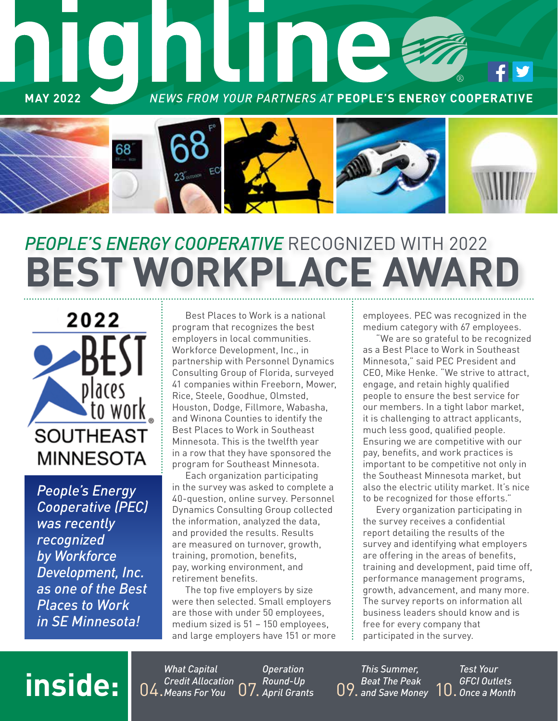

# *PEOPLE'S ENERGY COOPERATIVE* RECOGNIZED WITH 2022 **BEST WORKPLACE AWARD**



*People's Energy Cooperative (PEC) was recently recognized by Workforce Development, Inc. as one of the Best Places to Work in SE Minnesota!*

Best Places to Work is a national program that recognizes the best employers in local communities. Workforce Development, Inc., in partnership with Personnel Dynamics Consulting Group of Florida, surveyed 41 companies within Freeborn, Mower, Rice, Steele, Goodhue, Olmsted, Houston, Dodge, Fillmore, Wabasha, and Winona Counties to identify the Best Places to Work in Southeast Minnesota. This is the twelfth year in a row that they have sponsored the program for Southeast Minnesota.

Each organization participating in the survey was asked to complete a 40-question, online survey. Personnel Dynamics Consulting Group collected the information, analyzed the data, and provided the results. Results are measured on turnover, growth, training, promotion, benefits, pay, working environment, and retirement benefits.

The top five employers by size were then selected. Small employers are those with under 50 employees, medium sized is 51 – 150 employees, and large employers have 151 or more

employees. PEC was recognized in the medium category with 67 employees.

"We are so grateful to be recognized as a Best Place to Work in Southeast Minnesota," said PEC President and CEO, Mike Henke. "We strive to attract, engage, and retain highly qualified people to ensure the best service for our members. In a tight labor market, it is challenging to attract applicants, much less good, qualified people. Ensuring we are competitive with our pay, benefits, and work practices is important to be competitive not only in the Southeast Minnesota market, but also the electric utility market. It's nice to be recognized for those efforts."

Every organization participating in the survey receives a confidential report detailing the results of the survey and identifying what employers are offering in the areas of benefits, training and development, paid time off, performance management programs, growth, advancement, and many more. The survey reports on information all business leaders should know and is free for every company that participated in the survey.

## **inside:** 04.

*What Capital Credit Allocation*   $04$  *Means For You* 

*Operation Round-Up*   $7.$  April Grants

*This Summer, Beat The Peak and Save Money* 10.

*Test Your GFCI Outlets Once a Month*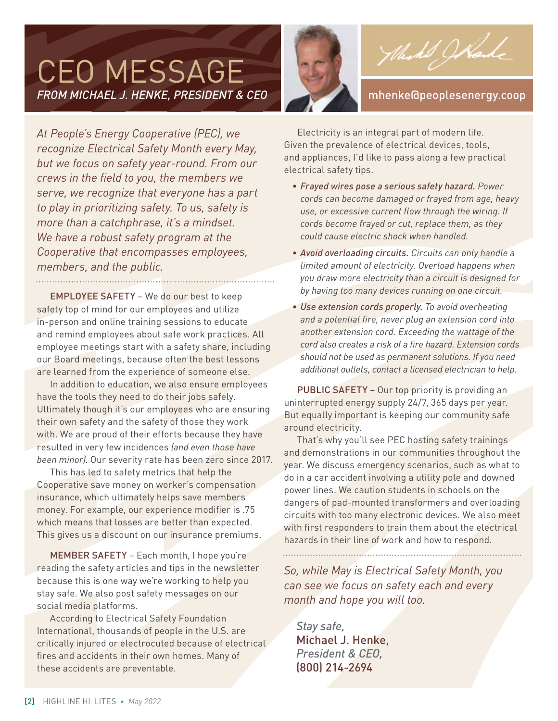### CEO MESSAGE **FROM MICHAEL J. HENKE, PRESIDENT & CEO MELLET AND RESIDENT MELLET AND RESIDENT AND RESIDENT ASSESSMENT ASSESSMENT ASSESSMENT ASSESSMENT ASSESSMENT AND RESIDENT A CEO**



Wed Wood

*At People's Energy Cooperative (PEC), we recognize Electrical Safety Month every May, but we focus on safety year-round. From our crews in the field to you, the members we serve, we recognize that everyone has a part to play in prioritizing safety. To us, safety is more than a catchphrase, it's a mindset. We have a robust safety program at the Cooperative that encompasses employees, members, and the public.* 

EMPLOYEE SAFETY – We do our best to keep safety top of mind for our employees and utilize in-person and online training sessions to educate and remind employees about safe work practices. All employee meetings start with a safety share, including our Board meetings, because often the best lessons are learned from the experience of someone else.

In addition to education, we also ensure employees have the tools they need to do their jobs safely. Ultimately though it's our employees who are ensuring their own safety and the safety of those they work with. We are proud of their efforts because they have resulted in very few incidences *(and even those have been minor)*. Our severity rate has been zero since 2017.

This has led to safety metrics that help the Cooperative save money on worker's compensation insurance, which ultimately helps save members money. For example, our experience modifier is .75 which means that losses are better than expected. This gives us a discount on our insurance premiums.

MEMBER SAFETY – Each month, I hope you're reading the safety articles and tips in the newsletter because this is one way we're working to help you stay safe. We also post safety messages on our social media platforms.

According to Electrical Safety Foundation International, thousands of people in the U.S. are critically injured or electrocuted because of electrical fires and accidents in their own homes. Many of these accidents are preventable.

Electricity is an integral part of modern life. Given the prevalence of electrical devices, tools, and appliances, I'd like to pass along a few practical electrical safety tips.

- *• Frayed wires pose a serious safety hazard. Power cords can become damaged or frayed from age, heavy use, or excessive current flow through the wiring. If cords become frayed or cut, replace them, as they could cause electric shock when handled.*
- *• Avoid overloading circuits. Circuits can only handle a limited amount of electricity. Overload happens when you draw more electricity than a circuit is designed for by having too many devices running on one circuit.*
- *• Use extension cords properly. To avoid overheating and a potential fire, never plug an extension cord into another extension cord. Exceeding the wattage of the cord also creates a risk of a fire hazard. Extension cords should not be used as permanent solutions. If you need additional outlets, contact a licensed electrician to help.*

PUBLIC SAFETY - Our top priority is providing an uninterrupted energy supply 24/7, 365 days per year. But equally important is keeping our community safe around electricity.

That's why you'll see PEC hosting safety trainings and demonstrations in our communities throughout the year. We discuss emergency scenarios, such as what to do in a car accident involving a utility pole and downed power lines. We caution students in schools on the dangers of pad-mounted transformers and overloading circuits with too many electronic devices. We also meet with first responders to train them about the electrical hazards in their line of work and how to respond.

*So, while May is Electrical Safety Month, you can see we focus on safety each and every month and hope you will too.*

*Stay safe,*  Michael J. Henke, *President & CEO,*  (800) 214-2694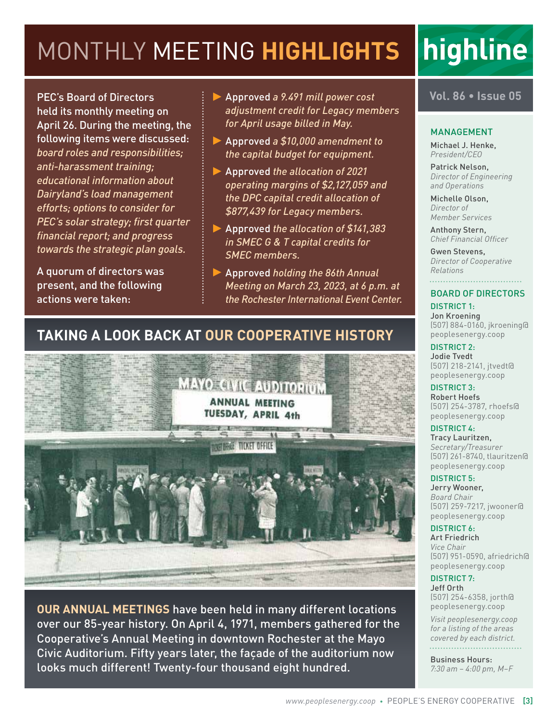### MONTHLY MEETING **HIGHLIGHTS**

PEC's Board of Directors held its monthly meeting on April 26. During the meeting, the following items were discussed: *board roles and responsibilities; anti-harassment training; educational information about Dairyland's load management efforts; options to consider for PEC's solar strategy; first quarter financial report; and progress towards the strategic plan goals.*

A quorum of directors was present, and the following actions were taken:

- Approved *a 9.491 mill power cost adjustment credit for Legacy members for April usage billed in May.*
- Approved *a \$10,000 amendment to the capital budget for equipment.*
- Approved *the allocation of 2021 operating margins of \$2,127,059 and the DPC capital credit allocation of \$877,439 for Legacy members.*
- Approved *the allocation of \$141,383 in SMEC G & T capital credits for SMEC members.*
- Approved *holding the 86th Annual Meeting on March 23, 2023, at 6 p.m. at the Rochester International Event Center.*

#### **Vol. 86 • Issue 05**

highline

#### MANAGEMENT

Michael J. Henke, *President/CEO*

Patrick Nelson, *Director of Engineering and Operations*

Michelle Olson, *Director of Member Services*

Anthony Stern, *Chief Financial Officer*

Gwen Stevens, *Director of Cooperative Relations*

#### BOARD OF DIRECTORS

DISTRICT 1: Jon Kroening (507) 884-0160, jkroening@ peoplesenergy.coop

DISTRICT 2: Jodie Tvedt (507) 218-2141, jtvedt@ peoplesenergy.coop

DISTRICT 3: Robert Hoefs (507) 254-3787, rhoefs@ peoplesenergy.coop

DISTRICT 4:

Tracy Lauritzen, *Secretary/Treasurer* (507) 261-8740, tlauritzen@ peoplesenergy.coop

DISTRICT 5:

Jerry Wooner, *Board Chair* (507) 259-7217, jwooner@ peoplesenergy.coop

DISTRICT 6: Art Friedrich

*Vice Chair* (507) 951-0590, afriedrich@ peoplesenergy.coop

#### DISTRICT 7:

Jeff Orth (507) 254-6358, jorth@ peoplesenergy.coop

*Visit peoplesenergy.coop for a listing of the areas covered by each district.* 

Business Hours: *7:30 am – 4:00 pm, M–F*

#### **TAKING A LOOK BACK AT OUR COOPERATIVE HISTORY**



**OUR ANNUAL MEETINGS** have been held in many different locations over our 85-year history. On April 4, 1971, members gathered for the Cooperative's Annual Meeting in downtown Rochester at the Mayo Civic Auditorium. Fifty years later, the façade of the auditorium now looks much different! Twenty-four thousand eight hundred.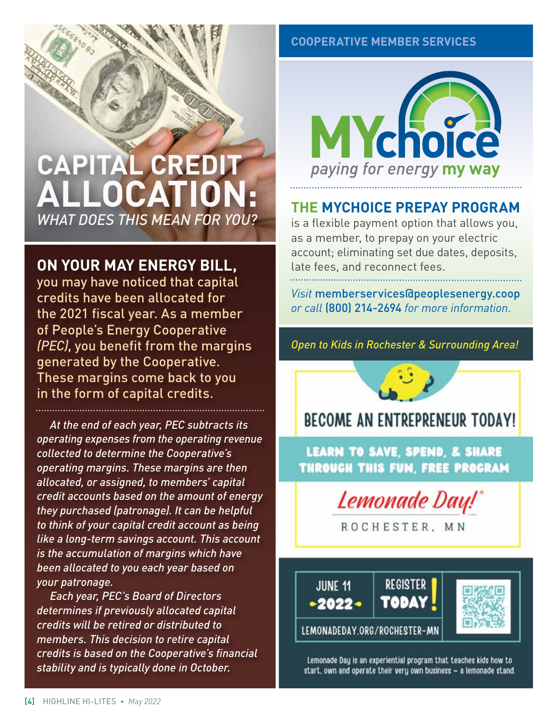#### **COOPERATIVE MEMBER SERVICES**

### **CAPITAL CRE ALLOCATIO** *WHAT DOES THIS MEAN FOR YOU?*

**ON YOUR MAY ENERGY BILL,** 

you may have noticed that capital credits have been allocated for the 2021 fiscal year. As a member of People's Energy Cooperative *(PEC)*, you benefit from the margins generated by the Cooperative. These margins come back to you in the form of capital credits.

*At the end of each year, PEC subtracts its operating expenses from the operating revenue collected to determine the Cooperative's operating margins. These margins are then allocated, or assigned, to members' capital credit accounts based on the amount of energy they purchased (patronage). It can be helpful to think of your capital credit account as being like a long-term savings account. This account is the accumulation of margins which have been allocated to you each year based on your patronage.*

*Each year, PEC's Board of Directors determines if previously allocated capital credits will be retired or distributed to members. This decision to retire capital credits is based on the Cooperative's financial stability and is typically done in October.*



#### **THE MYCHOICE PREPAY PROGRAM**

is a flexible payment option that allows you, as a member, to prepay on your electric account; eliminating set due dates, deposits, late fees, and reconnect fees.

*Visit* memberservices@peoplesenergy.coop *or call* (800) 214-2694 *for more information.*

*Open to Kids in Rochester & Surrounding Area!*



#### **BECOME AN ENTREPRENEUR TODAY!**

**LEARN TO SAVE, SPEND, & SHARE** THROUGH THIS FUN, FREE PROGRAM



ROCHESTER, MN



Lemonade Day is an experiential program that teaches kids how to start, own and operate their very own business - a lemonade stand.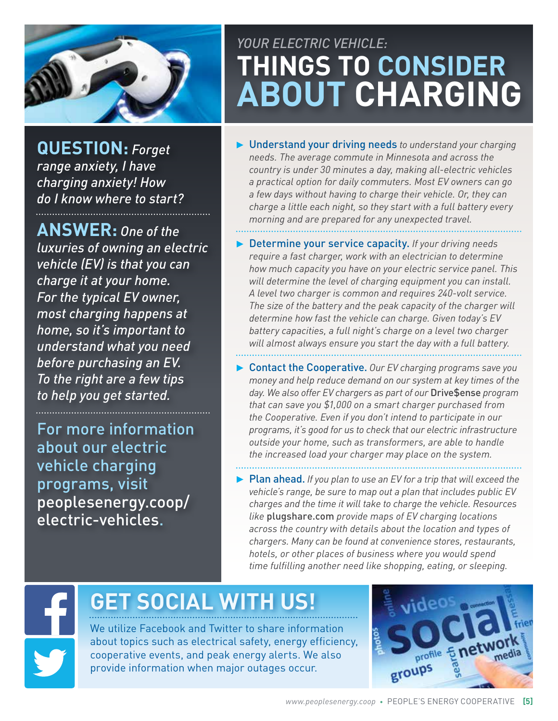

**QUESTION:** *Forget range anxiety, I have charging anxiety! How do I know where to start?* 

**ANSWER:** *One of the luxuries of owning an electric vehicle (EV) is that you can charge it at your home. For the typical EV owner, most charging happens at home, so it's important to understand what you need before purchasing an EV. To the right are a few tips to help you get started.*

For more information about our electric vehicle charging programs, visit peoplesenergy.coop/ electric-vehicles.

### *YOUR ELECTRIC VEHICLE:* **THINGS TO CONSIDER ABOUT CHARGING**

- Understand your driving needs *to understand your charging needs. The average commute in Minnesota and across the country is under 30 minutes a day, making all-electric vehicles a practical option for daily commuters. Most EV owners can go a few days without having to charge their vehicle. Or, they can charge a little each night, so they start with a full battery every morning and are prepared for any unexpected travel.*
- Determine your service capacity. *If your driving needs require a fast charger, work with an electrician to determine how much capacity you have on your electric service panel. This will determine the level of charging equipment you can install. A level two charger is common and requires 240-volt service. The size of the battery and the peak capacity of the charger will determine how fast the vehicle can charge. Given today's EV battery capacities, a full night's charge on a level two charger will almost always ensure you start the day with a full battery.*
- Contact the Cooperative. *Our EV charging programs save you money and help reduce demand on our system at key times of the day. We also offer EV chargers as part of our* Drive\$ense *program that can save you \$1,000 on a smart charger purchased from the Cooperative. Even if you don't intend to participate in our programs, it's good for us to check that our electric infrastructure outside your home, such as transformers, are able to handle the increased load your charger may place on the system.*
- 
- Plan ahead. *If you plan to use an EV for a trip that will exceed the vehicle's range, be sure to map out a plan that includes public EV charges and the time it will take to charge the vehicle. Resources like* plugshare.com *provide maps of EV charging locations across the country with details about the location and types of chargers. Many can be found at convenience stores, restaurants, hotels, or other places of business where you would spend time fulfilling another need like shopping, eating, or sleeping.*

## **GET SOCIAL WITH US!**

We utilize Facebook and Twitter to share information about topics such as electrical safety, energy efficiency, cooperative events, and peak energy alerts. We also provide information when major outages occur.

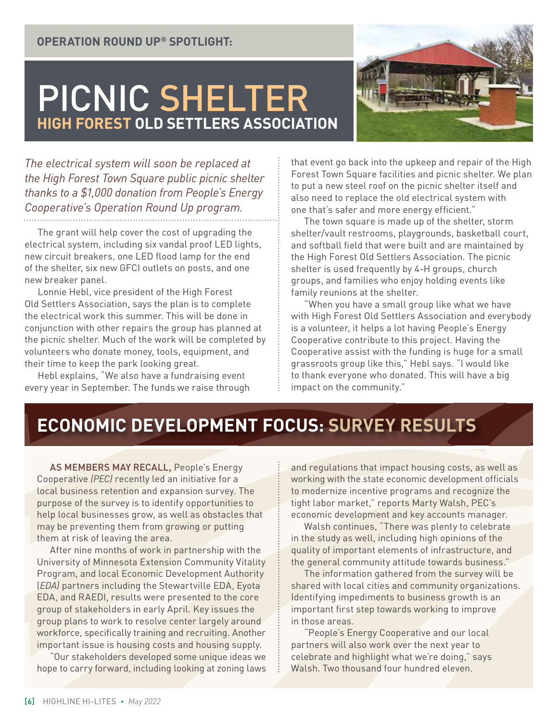### PICNIC SHELTER **HIGH FOREST OLD SETTLERS ASSOCIATION**



*The electrical system will soon be replaced at the High Forest Town Square public picnic shelter thanks to a \$1,000 donation from People's Energy Cooperative's Operation Round Up program.* 

The grant will help cover the cost of upgrading the electrical system, including six vandal proof LED lights, new circuit breakers, one LED flood lamp for the end of the shelter, six new GFCI outlets on posts, and one new breaker panel.

Lonnie Hebl, vice president of the High Forest Old Settlers Association, says the plan is to complete the electrical work this summer. This will be done in conjunction with other repairs the group has planned at the picnic shelter. Much of the work will be completed by volunteers who donate money, tools, equipment, and their time to keep the park looking great.

Hebl explains, "We also have a fundraising event every year in September. The funds we raise through that event go back into the upkeep and repair of the High Forest Town Square facilities and picnic shelter. We plan to put a new steel roof on the picnic shelter itself and also need to replace the old electrical system with one that's safer and more energy efficient."

The town square is made up of the shelter, storm shelter/vault restrooms, playgrounds, basketball court, and softball field that were built and are maintained by the High Forest Old Settlers Association. The picnic shelter is used frequently by 4-H groups, church groups, and families who enjoy holding events like family reunions at the shelter.

"When you have a small group like what we have with High Forest Old Settlers Association and everybody is a volunteer, it helps a lot having People's Energy Cooperative contribute to this project. Having the Cooperative assist with the funding is huge for a small grassroots group like this," Hebl says. "I would like to thank everyone who donated. This will have a big impact on the community."

### **ECONOMIC DEVELOPMENT FOCUS: SURVEY RESULTS**

AS MEMBERS MAY RECALL, People's Energy Cooperative *(PEC)* recently led an initiative for a local business retention and expansion survey. The purpose of the survey is to identify opportunities to help local businesses grow, as well as obstacles that may be preventing them from growing or putting them at risk of leaving the area.

After nine months of work in partnership with the University of Minnesota Extension Community Vitality Program, and local Economic Development Authority (*EDA)* partners including the Stewartville EDA, Eyota EDA, and RAEDI, results were presented to the core group of stakeholders in early April. Key issues the group plans to work to resolve center largely around workforce, specifically training and recruiting. Another important issue is housing costs and housing supply.

"Our stakeholders developed some unique ideas we hope to carry forward, including looking at zoning laws

and regulations that impact housing costs, as well as working with the state economic development officials to modernize incentive programs and recognize the tight labor market," reports Marty Walsh, PEC's economic development and key accounts manager.

Walsh continues, "There was plenty to celebrate in the study as well, including high opinions of the quality of important elements of infrastructure, and the general community attitude towards business."

The information gathered from the survey will be shared with local cities and community organizations. Identifying impediments to business growth is an important first step towards working to improve in those areas.

"People's Energy Cooperative and our local partners will also work over the next year to celebrate and highlight what we're doing," says Walsh. Two thousand four hundred eleven.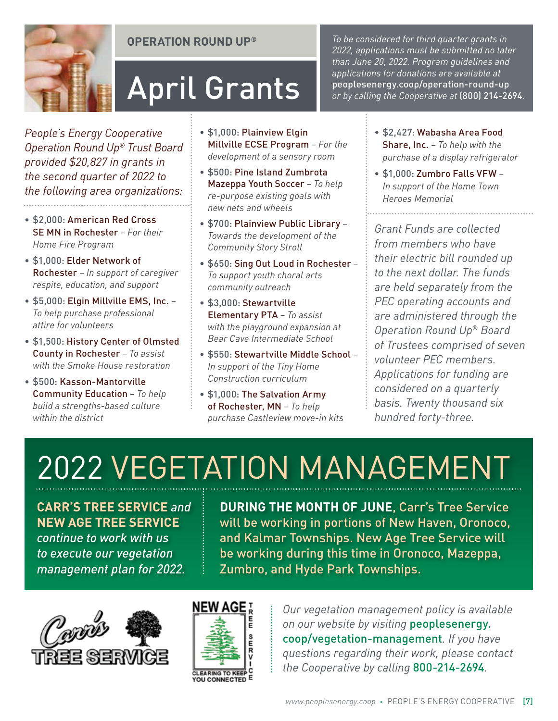

#### **OPERATION ROUND UP®**

# April Grants

*People's Energy Cooperative Operation Round Up® Trust Board provided \$20,827 in grants in the second quarter of 2022 to the following area organizations:*

- \$2,000: American Red Cross SE MN in Rochester *– For their Home Fire Program*
- \$1,000: Elder Network of Rochester *– In support of caregiver respite, education, and support*
- \$5,000: Elgin Millville EMS, Inc. *To help purchase professional attire for volunteers*
- \$1,500: History Center of Olmsted County in Rochester *– To assist with the Smoke House restoration*
- \$500: Kasson-Mantorville Community Education *– To help build a strengths-based culture within the district*
- \$1,000: Plainview Elgin Millville ECSE Program *– For the development of a sensory room*
- \$500: Pine Island Zumbrota Mazeppa Youth Soccer *– To help re-purpose existing goals with new nets and wheels*
- \$700: Plainview Public Library *Towards the development of the Community Story Stroll*
- \$650: Sing Out Loud in Rochester *To support youth choral arts community outreach*
- \$3,000: Stewartville Elementary PTA *– To assist with the playground expansion at Bear Cave Intermediate School*
- \$550: Stewartville Middle School *In support of the Tiny Home Construction curriculum*
- \$1,000: The Salvation Army of Rochester, MN *– To help purchase Castleview move-in kits*

*To be considered for third quarter grants in 2022, applications must be submitted no later than June 20, 2022. Program guidelines and applications for donations are available at* peoplesenergy.coop/operation-round-up *or by calling the Cooperative at* (800) 214-2694*.*

- \$2,427: Wabasha Area Food Share, Inc. *– To help with the purchase of a display refrigerator*
- \$1,000: Zumbro Falls VFW *In support of the Home Town Heroes Memorial*

*Grant Funds are collected from members who have their electric bill rounded up to the next dollar. The funds are held separately from the PEC operating accounts and are administered through the Operation Round Up® Board of Trustees comprised of seven volunteer PEC members. Applications for funding are considered on a quarterly basis. Twenty thousand six hundred forty-three.*

# 2022 VEGETATION MANAGEMENT

**CARR'S TREE SERVICE** *and*  **NEW AGE TREE SERVICE** *continue to work with us to execute our vegetation management plan for 2022.*

**DURING THE MONTH OF JUNE**, Carr's Tree Service will be working in portions of New Haven, Oronoco, and Kalmar Townships. New Age Tree Service will be working during this time in Oronoco, Mazeppa, Zumbro, and Hyde Park Townships.





*Our vegetation management policy is available on our website by visiting* peoplesenergy. coop/vegetation-management*. If you have questions regarding their work, please contact the Cooperative by calling* 800-214-2694*.*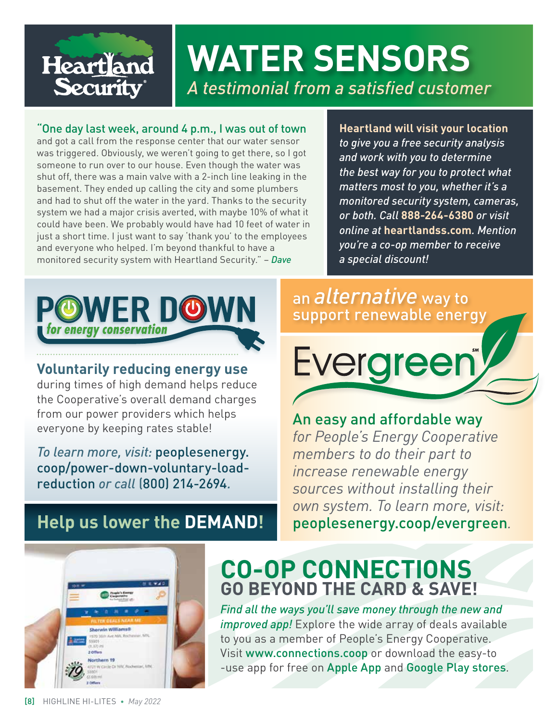

## **WATER SENSORS** *A testimonial from a satisfied customer*

#### "One day last week, around 4 p.m., I was out of town

and got a call from the response center that our water sensor was triggered. Obviously, we weren't going to get there, so I got someone to run over to our house. Even though the water was shut off, there was a main valve with a 2-inch line leaking in the basement. They ended up calling the city and some plumbers and had to shut off the water in the yard. Thanks to the security system we had a major crisis averted, with maybe 10% of what it could have been. We probably would have had 10 feet of water in just a short time. I just want to say 'thank you' to the employees and everyone who helped. I'm beyond thankful to have a monitored security system with Heartland Security." – *Dave*

**Heartland will visit your location** *to give you a free security analysis and work with you to determine the best way for you to protect what matters most to you, whether it's a monitored security system, cameras, or both. Call* **888-264-6380** *or visit online at* **heartlandss.com***. Mention you're a co-op member to receive a special discount!* 



**Voluntarily reducing energy use**  during times of high demand helps reduce the Cooperative's overall demand charges from our power providers which helps everyone by keeping rates stable!

*To learn more, visit:* peoplesenergy. coop/power-down-voluntary-loadreduction *or call* (800) 214-2694*.*

**Help us lower the DEMAND!**

### an *alternative* way to support renewable energy

# **Evergree**

An easy and affordable way *for People's Energy Cooperative members to do their part to increase renewable energy sources without installing their own system. To learn more, visit:*  peoplesenergy.coop/evergreen*.*



### **CO-OP CONNECTIONS GO BEYOND THE CARD & SAVE!**

*Find all the ways you'll save money through the new and improved app!* Explore the wide array of deals available to you as a member of People's Energy Cooperative. Visit www.connections.coop or download the easy-to -use app for free on Apple App and Google Play stores.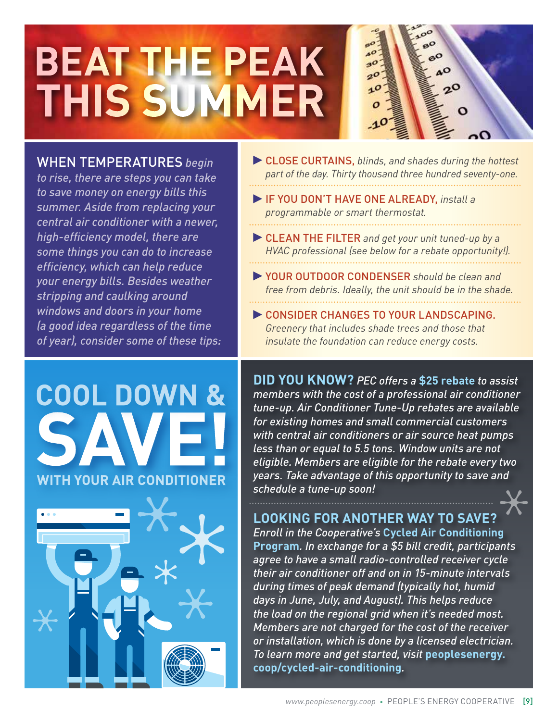# **BEAT THE PEAK THIS SUMMER**



#### WHEN TEMPERATURES *begin*

*to rise, there are steps you can take to save money on energy bills this summer. Aside from replacing your central air conditioner with a newer, high-efficiency model, there are some things you can do to increase efficiency, which can help reduce your energy bills. Besides weather stripping and caulking around windows and doors in your home (a good idea regardless of the time of year), consider some of these tips:*

# **COOL DOWN & WITH YOUR AIR CONDITIONER**



- CLOSE CURTAINS, *blinds, and shades during the hottest part of the day. Thirty thousand three hundred seventy-one.*
- IF YOU DON'T HAVE ONE ALREADY, *install a programmable or smart thermostat.*
- CLEAN THE FILTER *and get your unit tuned-up by a HVAC professional (see below for a rebate opportunity!).*
- YOUR OUTDOOR CONDENSER *should be clean and free from debris. Ideally, the unit should be in the shade.*
- CONSIDER CHANGES TO YOUR LANDSCAPING. *Greenery that includes shade trees and those that insulate the foundation can reduce energy costs.*

**DID YOU KNOW?** *PEC offers a* **\$25 rebate** *to assist members with the cost of a professional air conditioner tune-up. Air Conditioner Tune-Up rebates are available for existing homes and small commercial customers with central air conditioners or air source heat pumps less than or equal to 5.5 tons. Window units are not eligible. Members are eligible for the rebate every two years. Take advantage of this opportunity to save and schedule a tune-up soon!*

#### **LOOKING FOR ANOTHER WAY TO SAVE?**

*Enroll in the Cooperative's* **Cycled Air Conditioning Program***. In exchange for a \$5 bill credit, participants agree to have a small radio-controlled receiver cycle their air conditioner off and on in 15-minute intervals during times of peak demand (typically hot, humid days in June, July, and August). This helps reduce the load on the regional grid when it's needed most. Members are not charged for the cost of the receiver or installation, which is done by a licensed electrician. To learn more and get started, visit* **peoplesenergy. coop/cycled-air-conditioning***.*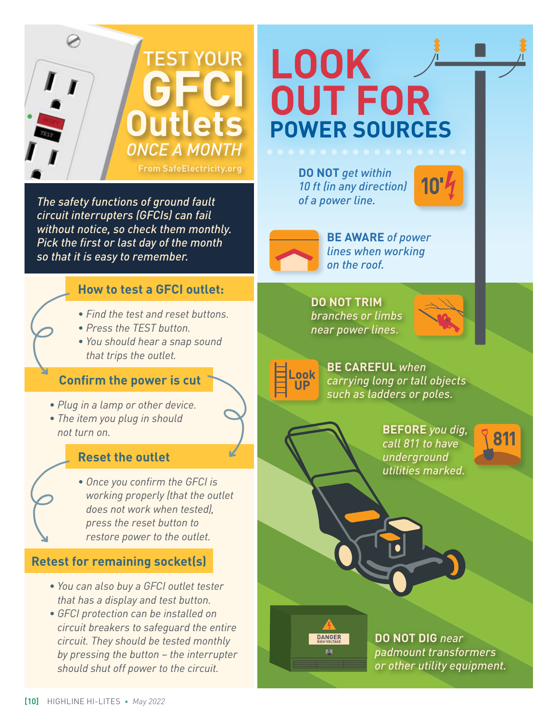

*The safety functions of ground fault circuit interrupters (GFCIs) can fail without notice, so check them monthly. Pick the first or last day of the month so that it is easy to remember.*

#### **How to test a GFCI outlet:**

- *• Find the test and reset buttons.*
- *• Press the TEST button.*
- *• You should hear a snap sound that trips the outlet.*

#### **Confirm the power is cut**

- *• Plug in a lamp or other device.*
- *• The item you plug in should not turn on.*

#### **Reset the outlet**

*• Once you confirm the GFCI is working properly (that the outlet does not work when tested), press the reset button to restore power to the outlet.*

#### **Retest for remaining socket(s)**

- *• You can also buy a GFCI outlet tester that has a display and test button.*
- *• GFCI protection can be installed on circuit breakers to safeguard the entire circuit. They should be tested monthly by pressing the button – the interrupter should shut off power to the circuit.*

## **LOOK OUT FOR POWER SOURCES**

**DO NOT** *get within 10 ft (in any direction) of a power line.*





**BE AWARE** *of power lines when working on the roof.*

**DO NOT TRIM**  *branches or limbs near power lines.*





**BE CAREFUL** *when carrying long or tall objects such as ladders or poles.*

> **BEFORE** *you dig, call 811 to have underground utilities marked.*

ໃ 811

**DANGER** p.

**DO NOT DIG** *near padmount transformers or other utility equipment.*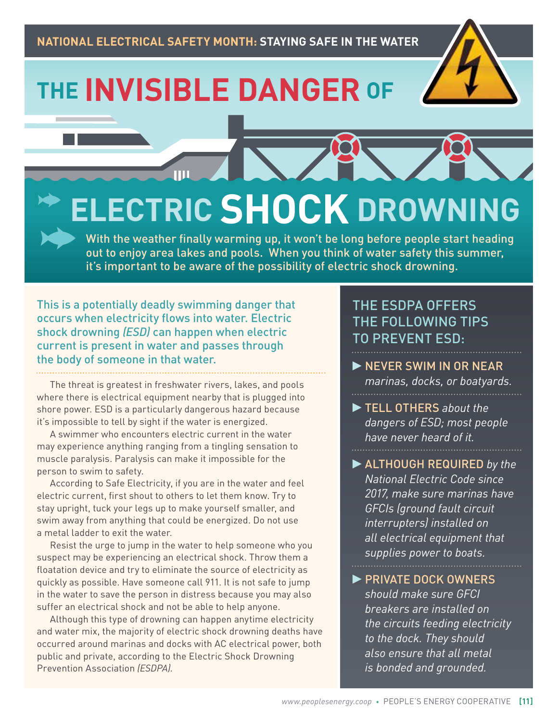# **THE INVISIBLE DANGER OF**

**ELECTRIC SHOCK DROWNING**

With the weather finally warming up, it won't be long before people start heading out to enjoy area lakes and pools. When you think of water safety this summer, it's important to be aware of the possibility of electric shock drowning.

This is a potentially deadly swimming danger that occurs when electricity flows into water. Electric shock drowning *(ESD)* can happen when electric current is present in water and passes through the body of someone in that water.

The threat is greatest in freshwater rivers, lakes, and pools where there is electrical equipment nearby that is plugged into shore power. ESD is a particularly dangerous hazard because it's impossible to tell by sight if the water is energized.

A swimmer who encounters electric current in the water may experience anything ranging from a tingling sensation to muscle paralysis. Paralysis can make it impossible for the person to swim to safety.

According to Safe Electricity, if you are in the water and feel electric current, first shout to others to let them know. Try to stay upright, tuck your legs up to make yourself smaller, and swim away from anything that could be energized. Do not use a metal ladder to exit the water.

Resist the urge to jump in the water to help someone who you suspect may be experiencing an electrical shock. Throw them a floatation device and try to eliminate the source of electricity as quickly as possible. Have someone call 911. It is not safe to jump in the water to save the person in distress because you may also suffer an electrical shock and not be able to help anyone.

Although this type of drowning can happen anytime electricity and water mix, the majority of electric shock drowning deaths have occurred around marinas and docks with AC electrical power, both public and private, according to the Electric Shock Drowning Prevention Association *(ESDPA)*.

#### THE ESDPA OFFERS THE FOLLOWING TIPS **O PREVENT ESD:**

- NEVER SWIM IN OR NEAR *marinas, docks, or boatyards.*
- ▶ TELL OTHERS about the *dangers of ESD; most people have never heard of it.*
- ALTHOUGH REQUIRED *by the National Electric Code since 2017, make sure marinas have GFCIs (ground fault circuit interrupters) installed on all electrical equipment that supplies power to boats.*
	-
- **PRIVATE DOCK OWNERS** *should make sure GFCI breakers are installed on the circuits feeding electricity to the dock. They should also ensure that all metal is bonded and grounded.*